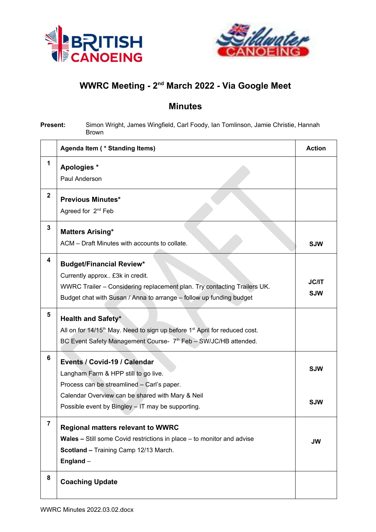



## **WWRC Meeting - 2nd March 2022 - Via Google Meet**

## **Minutes**

**Present:** Simon Wright, James Wingfield, Carl Foody, Ian Tomlinson, Jamie Christie, Hannah Brown

|                         | Agenda Item (* Standing Items)                                                                     | <b>Action</b> |
|-------------------------|----------------------------------------------------------------------------------------------------|---------------|
| 1                       | Apologies *                                                                                        |               |
|                         | Paul Anderson                                                                                      |               |
| $\overline{\mathbf{2}}$ | <b>Previous Minutes*</b>                                                                           |               |
|                         | Agreed for 2 <sup>nd</sup> Feb                                                                     |               |
| 3                       | <b>Matters Arising*</b>                                                                            |               |
|                         | ACM - Draft Minutes with accounts to collate.                                                      | <b>SJW</b>    |
| 4                       | <b>Budget/Financial Review*</b>                                                                    |               |
|                         | Currently approx £3k in credit.                                                                    |               |
|                         | WWRC Trailer - Considering replacement plan. Try contacting Trailers UK.                           | <b>JC/IT</b>  |
|                         | Budget chat with Susan / Anna to arrange - follow up funding budget                                | <b>SJW</b>    |
| 5                       | <b>Health and Safety*</b>                                                                          |               |
|                         | All on for 14/15 <sup>th</sup> May. Need to sign up before 1 <sup>st</sup> April for reduced cost. |               |
|                         | BC Event Safety Management Course- 7 <sup>th</sup> Feb - SW/JC/HB attended.                        |               |
| 6                       | Events / Covid-19 / Calendar                                                                       |               |
|                         | Langham Farm & HPP still to go live.                                                               | <b>SJW</b>    |
|                         | Process can be streamlined - Carl's paper.                                                         |               |
|                         | Calendar Overview can be shared with Mary & Neil                                                   | <b>SJW</b>    |
|                         | Possible event by Bingley - IT may be supporting.                                                  |               |
| 7                       | <b>Regional matters relevant to WWRC</b>                                                           |               |
|                         | Wales - Still some Covid restrictions in place - to monitor and advise                             | JW            |
|                         | Scotland - Training Camp 12/13 March.                                                              |               |
|                         | England -                                                                                          |               |
| 8                       | <b>Coaching Update</b>                                                                             |               |